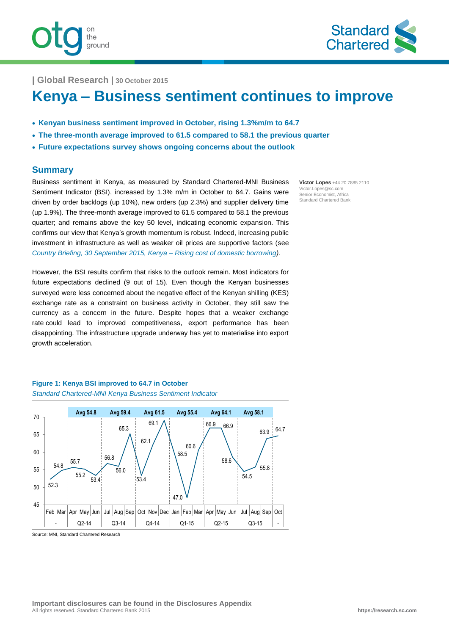

**| Global Research | 30 October 2015**

ground

# **Kenya – Business sentiment continues to improve**

- **Kenyan business sentiment improved in October, rising 1.3%m/m to 64.7**
- **The three-month average improved to 61.5 compared to 58.1 the previous quarter**
- **Future expectations survey shows ongoing concerns about the outlook**

### **Summary**

Business sentiment in Kenya, as measured by Standard Chartered-MNI Business Sentiment Indicator (BSI), increased by 1.3% m/m in October to 64.7. Gains were driven by order backlogs (up 10%), new orders (up 2.3%) and supplier delivery time (up 1.9%). The three-month average improved to 61.5 compared to 58.1 the previous quarter; and remains above the key 50 level, indicating economic expansion. This confirms our view that Kenya's growth momentum is robust. Indeed, increasing public investment in infrastructure as well as weaker oil prices are supportive factors (see *[Country Briefing, 30 September 2015, Kenya –](https://research.sc.com/Portal/Assets/DownloadReport/2236-83213-1) Rising cost of domestic borrowing).*

However, the BSI results confirm that risks to the outlook remain. Most indicators for future expectations declined (9 out of 15). Even though the Kenyan businesses surveyed were less concerned about the negative effect of the Kenyan shilling (KES) exchange rate as a constraint on business activity in October, they still saw the currency as a concern in the future. Despite hopes that a weaker exchange rate could lead to improved competitiveness, export performance has been disappointing. The infrastructure upgrade underway has yet to materialise into export growth acceleration.

### *Standard Chartered-MNI Kenya Business Sentiment Indicator* 70  **Avg 54.8 Avg 59.4 Avg 61.5 Avg 55.4 Avg 64.1 Avg 58.1**

**Figure 1: Kenya BSI improved to 64.7 in October**

Source: MNI, Standard Chartered Research 52.3 54.8 55.7 55.2 53.4 56.8 56.0 65.3  $53.4$ 62.1 58.5 47.0 60.6 66.9 66.9 58.6 54.5 55.8 63.9 64.7 45 50 55  $60$ 65 Feb Mar Apr May Jun Jul Aug Sep Oct Nov Dec Jan Feb Mar Apr May Jun Jul Aug Sep Oct - Q2-14 Q3-14 Q4-14 Q1-15 Q2-15 Q3-15 -

69.1

**Victor Lopes** +44 20 7885 2110 Victor.Lopes@sc.com Senior Economist, Africa Standard Chartered Bank

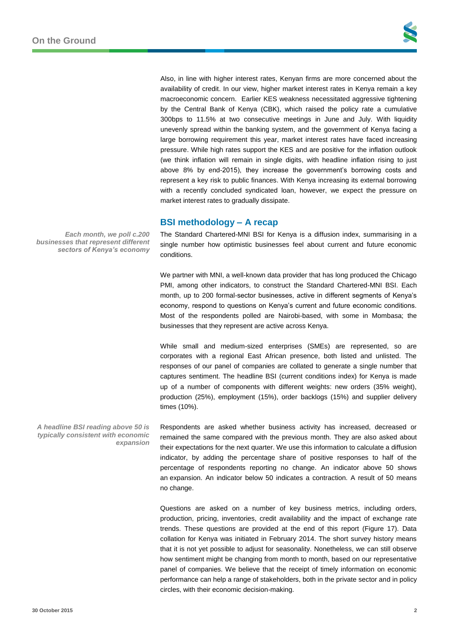Also, in line with higher interest rates, Kenyan firms are more concerned about the availability of credit. In our view, higher market interest rates in Kenya remain a key macroeconomic concern. Earlier KES weakness necessitated aggressive tightening by the Central Bank of Kenya (CBK), which raised the policy rate a cumulative 300bps to 11.5% at two consecutive meetings in June and July. With liquidity unevenly spread within the banking system, and the government of Kenya facing a large borrowing requirement this year, market interest rates have faced increasing pressure. While high rates support the KES and are positive for the inflation outlook (we think inflation will remain in single digits, with headline inflation rising to just above 8% by end-2015), they increase the government's borrowing costs and represent a key risk to public finances. With Kenya increasing its external borrowing with a recently concluded syndicated loan, however, we expect the pressure on market interest rates to gradually dissipate.

### **BSI methodology – A recap**

The Standard Chartered-MNI BSI for Kenya is a diffusion index, summarising in a single number how optimistic businesses feel about current and future economic conditions.

We partner with MNI, a well-known data provider that has long produced the Chicago PMI, among other indicators, to construct the Standard Chartered-MNI BSI. Each month, up to 200 formal-sector businesses, active in different segments of Kenya's economy, respond to questions on Kenya's current and future economic conditions. Most of the respondents polled are Nairobi-based, with some in Mombasa; the businesses that they represent are active across Kenya.

While small and medium-sized enterprises (SMEs) are represented, so are corporates with a regional East African presence, both listed and unlisted. The responses of our panel of companies are collated to generate a single number that captures sentiment. The headline BSI (current conditions index) for Kenya is made up of a number of components with different weights: new orders (35% weight), production (25%), employment (15%), order backlogs (15%) and supplier delivery times (10%).

Respondents are asked whether business activity has increased, decreased or remained the same compared with the previous month. They are also asked about their expectations for the next quarter. We use this information to calculate a diffusion indicator, by adding the percentage share of positive responses to half of the percentage of respondents reporting no change. An indicator above 50 shows an expansion. An indicator below 50 indicates a contraction. A result of 50 means no change.

Questions are asked on a number of key business metrics, including orders, production, pricing, inventories, credit availability and the impact of exchange rate trends. These questions are provided at the end of this report (Figure 17). Data collation for Kenya was initiated in February 2014. The short survey history means that it is not yet possible to adjust for seasonality. Nonetheless, we can still observe how sentiment might be changing from month to month, based on our representative panel of companies. We believe that the receipt of timely information on economic performance can help a range of stakeholders, both in the private sector and in policy circles, with their economic decision-making.

*Each month, we poll c.200 businesses that represent different sectors of Kenya's economy*

*A headline BSI reading above 50 is typically consistent with economic expansion*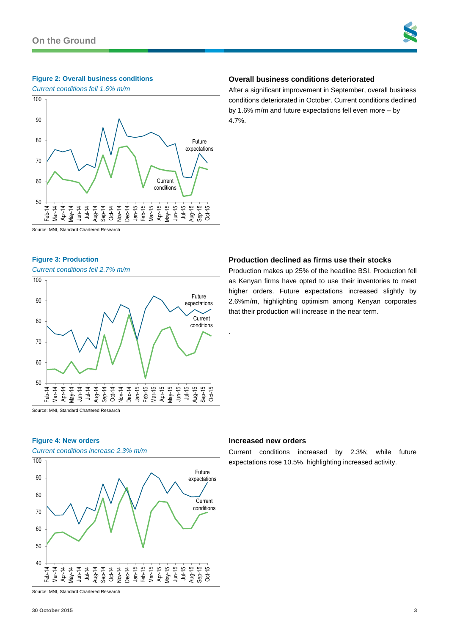#### **Figure 2: Overall business conditions**



## **Overall business conditions deteriorated**

After a significant improvement in September, overall business conditions deteriorated in October. Current conditions declined by 1.6% m/m and future expectations fell even more – by 4.7%.

Source: MNI, Standard Chartered Research

#### **Figure 3: Production**

#### *Current conditions fell 2.7% m/m*



Source: MNI, Standard Chartered Research

#### **Figure 4: New orders**

*Current conditions increase 2.3% m/m*



#### **Increased new orders**

.

Current conditions increased by 2.3%; while future expectations rose 10.5%, highlighting increased activity.

Source: MNI, Standard Chartered Research

#### **Production declined as firms use their stocks**

Production makes up 25% of the headline BSI. Production fell as Kenyan firms have opted to use their inventories to meet higher orders. Future expectations increased slightly by 2.6%m/m, highlighting optimism among Kenyan corporates that their production will increase in the near term.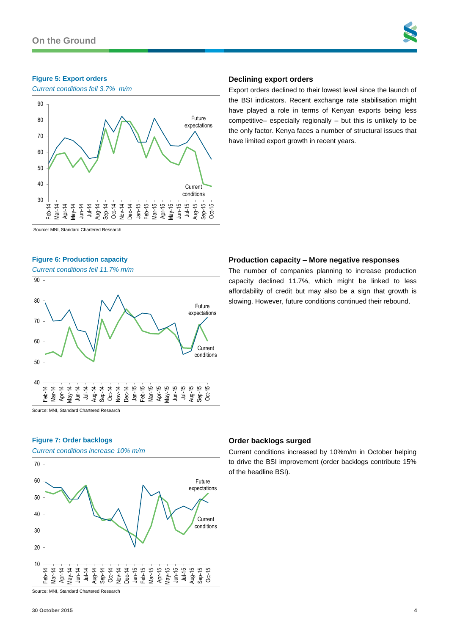#### **Figure 5: Export orders**

*Current conditions fell 3.7% m/m*



#### **Declining export orders**

Export orders declined to their lowest level since the launch of the BSI indicators. Recent exchange rate stabilisation might have played a role in terms of Kenyan exports being less competitive– especially regionally – but this is unlikely to be the only factor. Kenya faces a number of structural issues that have limited export growth in recent years.

Source: MNI, Standard Chartered Research

#### **Figure 6: Production capacity**

*Current conditions fell 11.7% m/m*



Source: MNI, Standard Chartered Research

#### **Figure 7: Order backlogs**

*Current conditions increase 10% m/m*



### **Order backlogs surged**

Current conditions increased by 10%m/m in October helping to drive the BSI improvement (order backlogs contribute 15% of the headline BSI).

Source: MNI, Standard Chartered Research

#### **Production capacity – More negative responses**

The number of companies planning to increase production capacity declined 11.7%, which might be linked to less affordability of credit but may also be a sign that growth is slowing. However, future conditions continued their rebound.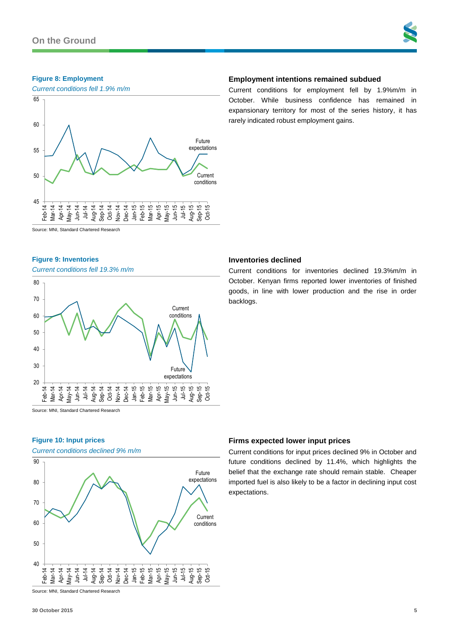#### **Figure 8: Employment**



#### **Employment intentions remained subdued**

Current conditions for employment fell by 1.9%m/m in October. While business confidence has remained in expansionary territory for most of the series history, it has rarely indicated robust employment gains.

Current conditions for inventories declined 19.3%m/m in October. Kenyan firms reported lower inventories of finished goods, in line with lower production and the rise in order

Source: MNI, Standard Chartered Research

#### **Figure 9: Inventories**

*Current conditions fell 19.3% m/m*



Source: MNI, Standard Chartered Research

#### **Figure 10: Input prices**

*Current conditions declined 9% m/m*



## **Firms expected lower input prices**

**Inventories declined**

backlogs.

Current conditions for input prices declined 9% in October and future conditions declined by 11.4%, which highlights the belief that the exchange rate should remain stable. Cheaper imported fuel is also likely to be a factor in declining input cost expectations.

Source: MNI, Standard Chartered Research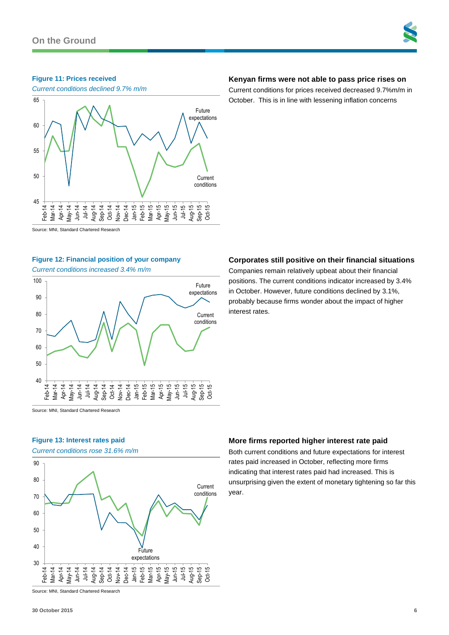#### **Figure 11: Prices received**



#### Source: MNI, Standard Chartered Research

#### **Figure 12: Financial position of your company**

*Current conditions increased 3.4% m/m*



Source: MNI, Standard Chartered Research

#### **Figure 13: Interest rates paid**

*Current conditions rose 31.6% m/m*



Source: MNI, Standard Chartered Research

#### **30 October 2015 6**

#### **Kenyan firms were not able to pass price rises on**

Current conditions for prices received decreased 9.7%m/m in October. This is in line with lessening inflation concerns

#### **Corporates still positive on their financial situations**

Companies remain relatively upbeat about their financial positions. The current conditions indicator increased by 3.4% in October. However, future conditions declined by 3.1%, probably because firms wonder about the impact of higher interest rates.

#### **More firms reported higher interest rate paid**

Both current conditions and future expectations for interest rates paid increased in October, reflecting more firms indicating that interest rates paid had increased. This is unsurprising given the extent of monetary tightening so far this year.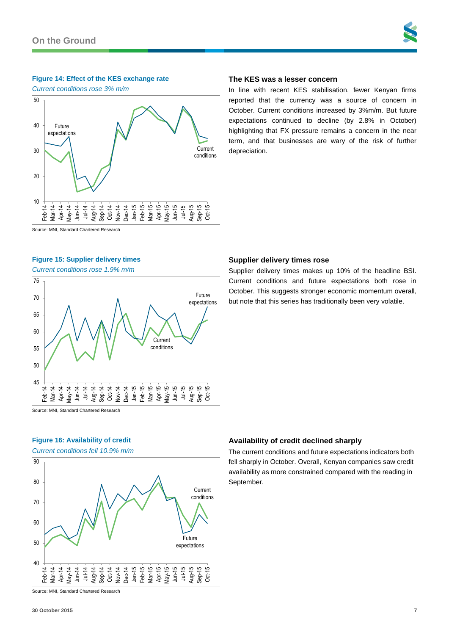#### **Figure 14: Effect of the KES exchange rate**

*Current conditions rose 3% m/m*



### **The KES was a lesser concern**

**Supplier delivery times rose**

In line with recent KES stabilisation, fewer Kenyan firms reported that the currency was a source of concern in October. Current conditions increased by 3%m/m. But future expectations continued to decline (by 2.8% in October) highlighting that FX pressure remains a concern in the near term, and that businesses are wary of the risk of further depreciation.

Supplier delivery times makes up 10% of the headline BSI. Current conditions and future expectations both rose in October. This suggests stronger economic momentum overall, but note that this series has traditionally been very volatile.

Source: MNI, Standard Chartered Research

#### **Figure 15: Supplier delivery times**

*Current conditions rose 1.9% m/m*



Source: MNI, Standard Chartered Research

### **Figure 16: Availability of credit**

*Current conditions fell 10.9% m/m*



#### **Availability of credit declined sharply**

The current conditions and future expectations indicators both fell sharply in October. Overall, Kenyan companies saw credit availability as more constrained compared with the reading in September.

Source: MNI, Standard Chartered Research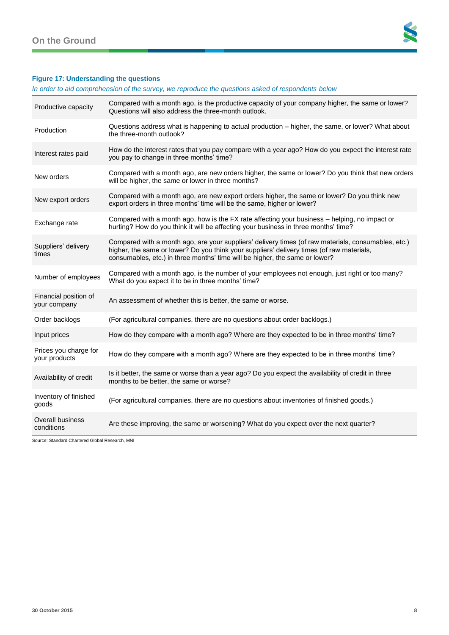

### **Figure 17: Understanding the questions**

*In order to aid comprehension of the survey, we reproduce the questions asked of respondents below*

| Productive capacity                    | Compared with a month ago, is the productive capacity of your company higher, the same or lower?<br>Questions will also address the three-month outlook.                                                                                                                        |
|----------------------------------------|---------------------------------------------------------------------------------------------------------------------------------------------------------------------------------------------------------------------------------------------------------------------------------|
| Production                             | Questions address what is happening to actual production - higher, the same, or lower? What about<br>the three-month outlook?                                                                                                                                                   |
| Interest rates paid                    | How do the interest rates that you pay compare with a year ago? How do you expect the interest rate<br>you pay to change in three months' time?                                                                                                                                 |
| New orders                             | Compared with a month ago, are new orders higher, the same or lower? Do you think that new orders<br>will be higher, the same or lower in three months?                                                                                                                         |
| New export orders                      | Compared with a month ago, are new export orders higher, the same or lower? Do you think new<br>export orders in three months' time will be the same, higher or lower?                                                                                                          |
| Exchange rate                          | Compared with a month ago, how is the FX rate affecting your business - helping, no impact or<br>hurting? How do you think it will be affecting your business in three months' time?                                                                                            |
| Suppliers' delivery<br>times           | Compared with a month ago, are your suppliers' delivery times (of raw materials, consumables, etc.)<br>higher, the same or lower? Do you think your suppliers' delivery times (of raw materials,<br>consumables, etc.) in three months' time will be higher, the same or lower? |
| Number of employees                    | Compared with a month ago, is the number of your employees not enough, just right or too many?<br>What do you expect it to be in three months' time?                                                                                                                            |
| Financial position of<br>your company  | An assessment of whether this is better, the same or worse.                                                                                                                                                                                                                     |
| Order backlogs                         | (For agricultural companies, there are no questions about order backlogs.)                                                                                                                                                                                                      |
| Input prices                           | How do they compare with a month ago? Where are they expected to be in three months' time?                                                                                                                                                                                      |
| Prices you charge for<br>your products | How do they compare with a month ago? Where are they expected to be in three months' time?                                                                                                                                                                                      |
| Availability of credit                 | Is it better, the same or worse than a year ago? Do you expect the availability of credit in three<br>months to be better, the same or worse?                                                                                                                                   |
| Inventory of finished<br>goods         | (For agricultural companies, there are no questions about inventories of finished goods.)                                                                                                                                                                                       |
| <b>Overall business</b><br>conditions  | Are these improving, the same or worsening? What do you expect over the next quarter?                                                                                                                                                                                           |

Source: Standard Chartered Global Research, MNI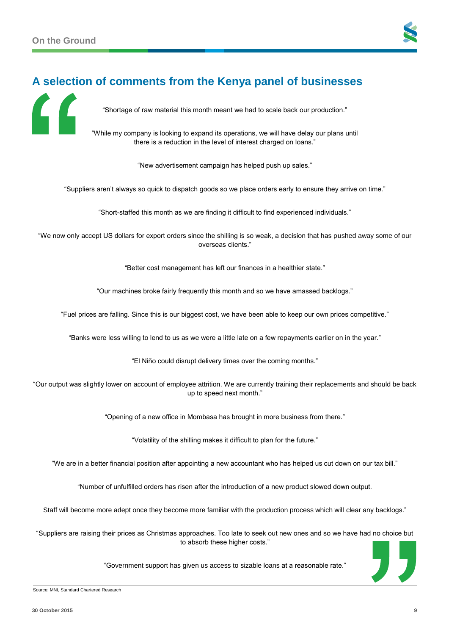

## **A selection of comments from the Kenya panel of businesses**

"Shortage of raw material this month meant we had to scale back our production."

"While my company is looking to expand its operations, we will have delay our plans until there is a reduction in the level of interest charged on loans."

"New advertisement campaign has helped push up sales."

"Suppliers aren't always so quick to dispatch goods so we place orders early to ensure they arrive on time."

"Short-staffed this month as we are finding it difficult to find experienced individuals."

"We now only accept US dollars for export orders since the shilling is so weak, a decision that has pushed away some of our overseas clients."

"Better cost management has left our finances in a healthier state."

"Our machines broke fairly frequently this month and so we have amassed backlogs."

"Fuel prices are falling. Since this is our biggest cost, we have been able to keep our own prices competitive."

"Banks were less willing to lend to us as we were a little late on a few repayments earlier on in the year."

"El Niño could disrupt delivery times over the coming months."

"Our output was slightly lower on account of employee attrition. We are currently training their replacements and should be back up to speed next month."

"Opening of a new office in Mombasa has brought in more business from there."

"Volatility of the shilling makes it difficult to plan for the future."

"We are in a better financial position after appointing a new accountant who has helped us cut down on our tax bill."

"Number of unfulfilled orders has risen after the introduction of a new product slowed down output.

Staff will become more adept once they become more familiar with the production process which will clear any backlogs."

"Suppliers are raising their prices as Christmas approaches. Too late to seek out new ones and so we have had no choice but to absorb these higher costs."

"Government support has given us access to sizable loans at a reasonable rate."



Source: MNI, Standard Chartered Research